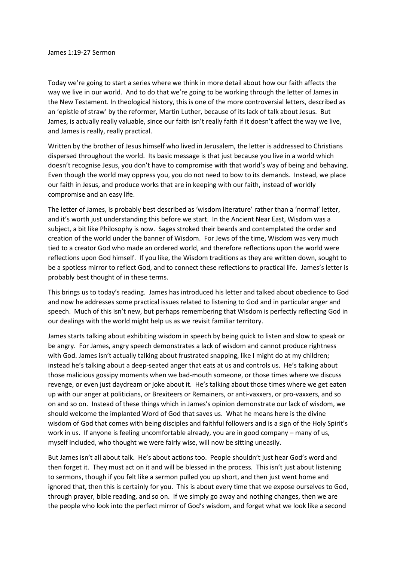Today we're going to start a series where we think in more detail about how our faith affects the way we live in our world. And to do that we're going to be working through the letter of James in the New Testament. In theological history, this is one of the more controversial letters, described as an 'epistle of straw' by the reformer, Martin Luther, because of its lack of talk about Jesus. But James, is actually really valuable, since our faith isn't really faith if it doesn't affect the way we live, and James is really, really practical.

Written by the brother of Jesus himself who lived in Jerusalem, the letter is addressed to Christians dispersed throughout the world. Its basic message is that just because you live in a world which doesn't recognise Jesus, you don't have to compromise with that world's way of being and behaving. Even though the world may oppress you, you do not need to bow to its demands. Instead, we place our faith in Jesus, and produce works that are in keeping with our faith, instead of worldly compromise and an easy life.

The letter of James, is probably best described as 'wisdom literature' rather than a 'normal' letter, and it's worth just understanding this before we start. In the Ancient Near East, Wisdom was a subject, a bit like Philosophy is now. Sages stroked their beards and contemplated the order and creation of the world under the banner of Wisdom. For Jews of the time, Wisdom was very much tied to a creator God who made an ordered world, and therefore reflections upon the world were reflections upon God himself. If you like, the Wisdom traditions as they are written down, sought to be a spotless mirror to reflect God, and to connect these reflections to practical life. James's letter is probably best thought of in these terms.

This brings us to today's reading. James has introduced his letter and talked about obedience to God and now he addresses some practical issues related to listening to God and in particular anger and speech. Much of this isn't new, but perhaps remembering that Wisdom is perfectly reflecting God in our dealings with the world might help us as we revisit familiar territory.

James starts talking about exhibiting wisdom in speech by being quick to listen and slow to speak or be angry. For James, angry speech demonstrates a lack of wisdom and cannot produce rightness with God. James isn't actually talking about frustrated snapping, like I might do at my children; instead he's talking about a deep-seated anger that eats at us and controls us. He's talking about those malicious gossipy moments when we bad-mouth someone, or those times where we discuss revenge, or even just daydream or joke about it. He's talking about those times where we get eaten up with our anger at politicians, or Brexiteers or Remainers, or anti-vaxxers, or pro-vaxxers, and so on and so on. Instead of these things which in James's opinion demonstrate our lack of wisdom, we should welcome the implanted Word of God that saves us. What he means here is the divine wisdom of God that comes with being disciples and faithful followers and is a sign of the Holy Spirit's work in us. If anyone is feeling uncomfortable already, you are in good company – many of us, myself included, who thought we were fairly wise, will now be sitting uneasily.

But James isn't all about talk. He's about actions too. People shouldn't just hear God's word and then forget it. They must act on it and will be blessed in the process. This isn't just about listening to sermons, though if you felt like a sermon pulled you up short, and then just went home and ignored that, then this is certainly for you. This is about every time that we expose ourselves to God, through prayer, bible reading, and so on. If we simply go away and nothing changes, then we are the people who look into the perfect mirror of God's wisdom, and forget what we look like a second